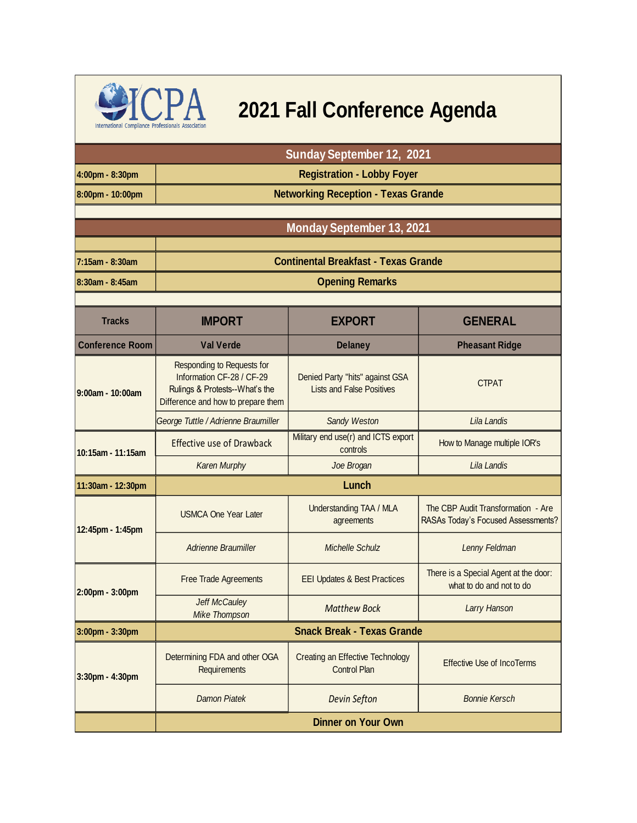

## **CPA** 2021 Fall Conference Agenda

|                        | <b>Sunday September 12, 2021</b>                                                                                                |                                                                     |                                                                          |  |
|------------------------|---------------------------------------------------------------------------------------------------------------------------------|---------------------------------------------------------------------|--------------------------------------------------------------------------|--|
| 4:00pm - 8:30pm        | <b>Registration - Lobby Foyer</b>                                                                                               |                                                                     |                                                                          |  |
| 8:00pm - 10:00pm       | <b>Networking Reception - Texas Grande</b>                                                                                      |                                                                     |                                                                          |  |
|                        |                                                                                                                                 |                                                                     |                                                                          |  |
|                        |                                                                                                                                 | <b>Monday September 13, 2021</b>                                    |                                                                          |  |
| 7:15am - 8:30am        | <b>Continental Breakfast - Texas Grande</b>                                                                                     |                                                                     |                                                                          |  |
| 8:30am - 8:45am        | <b>Opening Remarks</b>                                                                                                          |                                                                     |                                                                          |  |
|                        |                                                                                                                                 |                                                                     |                                                                          |  |
| <b>Tracks</b>          | <b>IMPORT</b>                                                                                                                   | <b>EXPORT</b>                                                       | <b>GENERAL</b>                                                           |  |
| <b>Conference Room</b> | <b>Val Verde</b>                                                                                                                | <b>Delaney</b>                                                      | <b>Pheasant Ridge</b>                                                    |  |
| 9:00am - 10:00am       | Responding to Requests for<br>Information CF-28 / CF-29<br>Rulings & Protests--What's the<br>Difference and how to prepare them | Denied Party "hits" against GSA<br><b>Lists and False Positives</b> | <b>CTPAT</b>                                                             |  |
|                        | George Tuttle / Adrienne Braumiller                                                                                             | Sandy Weston                                                        | Lila Landis                                                              |  |
| 10:15am - 11:15am      | <b>Effective use of Drawback</b>                                                                                                | Military end use(r) and ICTS export<br>controls                     | How to Manage multiple IOR's                                             |  |
|                        | Karen Murphy                                                                                                                    | Joe Brogan                                                          | Lila Landis                                                              |  |
| 11:30am - 12:30pm      | Lunch                                                                                                                           |                                                                     |                                                                          |  |
| 12:45pm - 1:45pm       | <b>USMCA One Year Later</b>                                                                                                     | Understanding TAA / MLA<br>agreements                               | The CBP Audit Transformation - Are<br>RASAs Today's Focused Assessments? |  |
|                        | <b>Adrienne Braumiller</b>                                                                                                      | <b>Michelle Schulz</b>                                              | Lenny Feldman                                                            |  |
| 2:00pm - 3:00pm        | Free Trade Agreements                                                                                                           | <b>EEI Updates &amp; Best Practices</b>                             | There is a Special Agent at the door:<br>what to do and not to do        |  |
|                        | <b>Jeff McCauley</b><br><b>Mike Thompson</b>                                                                                    | <b>Matthew Bock</b>                                                 | <b>Larry Hanson</b>                                                      |  |
| 3:00pm - 3:30pm        | <b>Snack Break - Texas Grande</b>                                                                                               |                                                                     |                                                                          |  |
| 3:30pm - 4:30pm        | Determining FDA and other OGA<br>Requirements                                                                                   | Creating an Effective Technology<br><b>Control Plan</b>             | <b>Effective Use of IncoTerms</b>                                        |  |
|                        | <b>Damon Piatek</b>                                                                                                             | <b>Devin Sefton</b>                                                 | <b>Bonnie Kersch</b>                                                     |  |
|                        | <b>Dinner on Your Own</b>                                                                                                       |                                                                     |                                                                          |  |